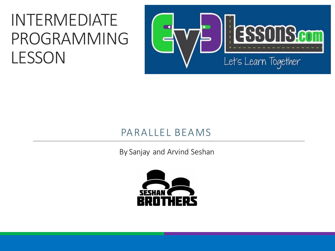### INTERMEDIATE PROGRAMMING LESSON



#### PARALLEL BEAMS

By Sanjay and Arvind Seshan

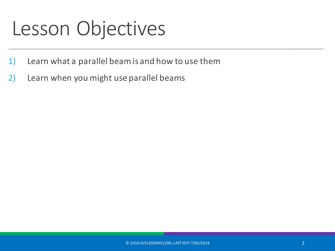### Lesson Objectives

- 1) Learn what a parallel beam is and how to use them
- 2) Learn when you might use parallel beams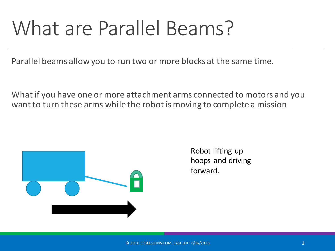# What are Parallel Beams?

Parallel beams allow you to run two or more blocks at the same time.

What if you have one or more attachment arms connected to motors and you want to turn these arms while the robot is moving to complete a mission



Robot lifting up hoops and driving forward.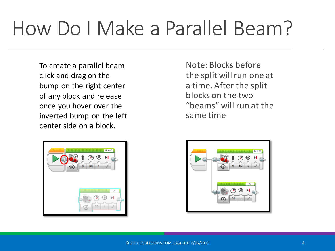# How Do I Make a Parallel Beam?

To create a parallel beam click and drag on the bump on the right center of any block and release once you hover over the inverted bump on the left center side on a block.



Note: Blocks before the split will run one at a time. After the split blocks on the two "beams" will run at the same time

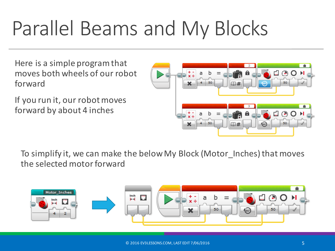# Parallel Beams and My Blocks

Here is a simple program that moves both wheels of our robot forward

If you run it, our robot moves forward by about 4 inches



To simplify it, we can make the below My Block (Motor Inches) that moves the selected motor forward

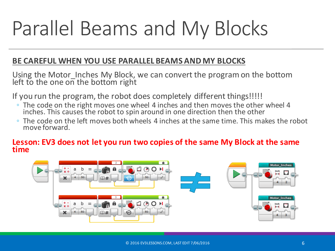# Parallel Beams and My Blocks

#### BE CAREFUL WHEN YOU USE PARALLEL BEAMS AND MY BLOCKS

Using the Motor\_Inches My Block, we can convert the program on the bottom left to the one on the bottom right

If you run the program, the robot does completely different things!!!!!

- $\degree$  The code on the right moves one wheel 4 inches and then moves the other wheel 4 inches. This causes the robot to spin around in one direction then the other
- $\circ$  The code on the left moves both wheels 4 inches at the same time. This makes the robot move forward.

#### **Lesson: EV3 does not let you run two copies of the same My Block at the same time**

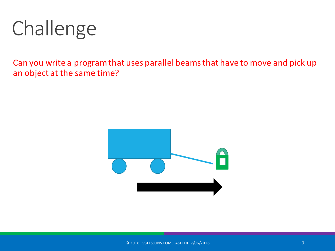# Challenge

Can you write a program that uses parallel beams that have to move and pick up an object at the same time?